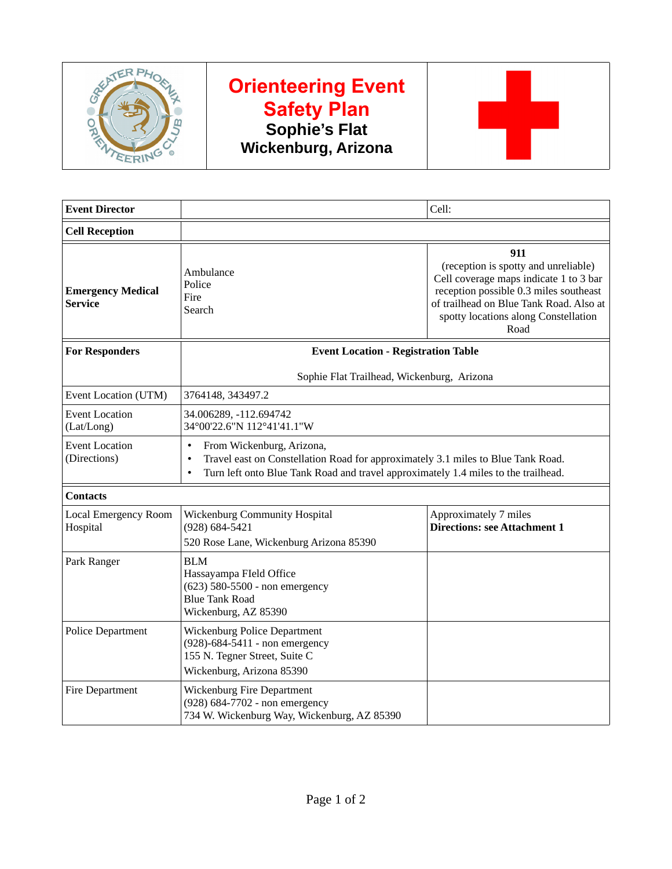

# **Orienteering Event Safety Plan Sophie's Flat Wickenburg, Arizona**



| <b>Event Director</b>                      |                                                                                                                                                                                                                                            | Cell:                                                                                                                                                                                                                      |  |  |
|--------------------------------------------|--------------------------------------------------------------------------------------------------------------------------------------------------------------------------------------------------------------------------------------------|----------------------------------------------------------------------------------------------------------------------------------------------------------------------------------------------------------------------------|--|--|
| <b>Cell Reception</b>                      |                                                                                                                                                                                                                                            |                                                                                                                                                                                                                            |  |  |
| <b>Emergency Medical</b><br><b>Service</b> | Ambulance<br>Police<br>Fire<br>Search                                                                                                                                                                                                      | 911<br>(reception is spotty and unreliable)<br>Cell coverage maps indicate 1 to 3 bar<br>reception possible 0.3 miles southeast<br>of trailhead on Blue Tank Road. Also at<br>spotty locations along Constellation<br>Road |  |  |
| <b>For Responders</b>                      | <b>Event Location - Registration Table</b>                                                                                                                                                                                                 |                                                                                                                                                                                                                            |  |  |
|                                            |                                                                                                                                                                                                                                            | Sophie Flat Trailhead, Wickenburg, Arizona                                                                                                                                                                                 |  |  |
| Event Location (UTM)                       | 3764148, 343497.2                                                                                                                                                                                                                          |                                                                                                                                                                                                                            |  |  |
| <b>Event Location</b><br>(Lat/Long)        | 34.006289, -112.694742<br>34°00'22.6"N 112°41'41.1"W                                                                                                                                                                                       |                                                                                                                                                                                                                            |  |  |
| <b>Event Location</b><br>(Directions)      | From Wickenburg, Arizona,<br>$\bullet$<br>Travel east on Constellation Road for approximately 3.1 miles to Blue Tank Road.<br>$\bullet$<br>Turn left onto Blue Tank Road and travel approximately 1.4 miles to the trailhead.<br>$\bullet$ |                                                                                                                                                                                                                            |  |  |
| <b>Contacts</b>                            |                                                                                                                                                                                                                                            |                                                                                                                                                                                                                            |  |  |
| <b>Local Emergency Room</b><br>Hospital    | <b>Wickenburg Community Hospital</b><br>(928) 684-5421<br>520 Rose Lane, Wickenburg Arizona 85390                                                                                                                                          | Approximately 7 miles<br><b>Directions: see Attachment 1</b>                                                                                                                                                               |  |  |
| Park Ranger                                | <b>BLM</b><br>Hassayampa FIeld Office<br>(623) 580-5500 - non emergency<br><b>Blue Tank Road</b><br>Wickenburg, AZ 85390                                                                                                                   |                                                                                                                                                                                                                            |  |  |
| <b>Police Department</b>                   | Wickenburg Police Department<br>(928)-684-5411 - non emergency<br>155 N. Tegner Street, Suite C<br>Wickenburg, Arizona 85390                                                                                                               |                                                                                                                                                                                                                            |  |  |
| Fire Department                            | <b>Wickenburg Fire Department</b><br>(928) 684-7702 - non emergency<br>734 W. Wickenburg Way, Wickenburg, AZ 85390                                                                                                                         |                                                                                                                                                                                                                            |  |  |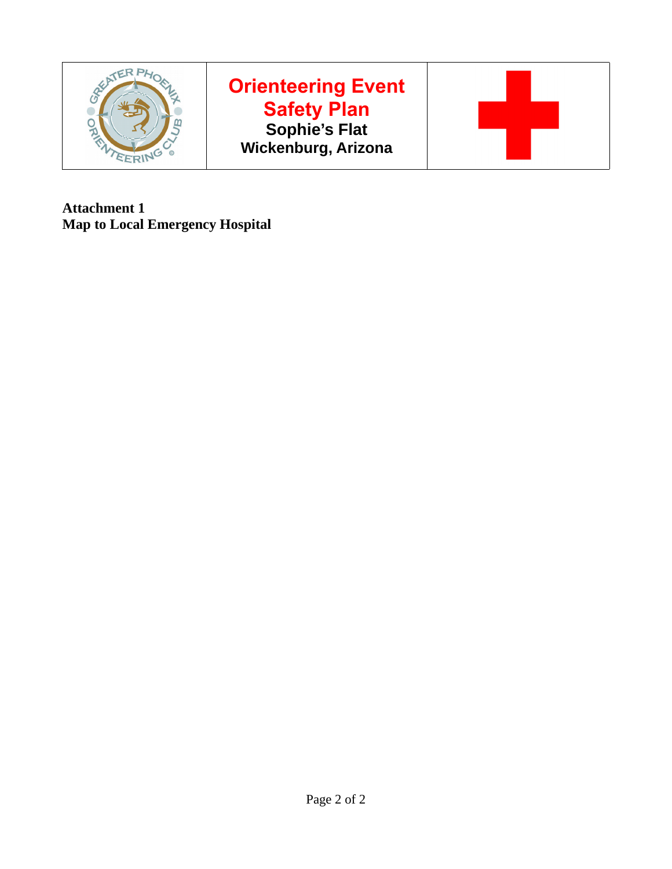

# **Orienteering Event Safety Plan Sophie's Flat Wickenburg, Arizona**



**Attachment 1 Map to Local Emergency Hospital**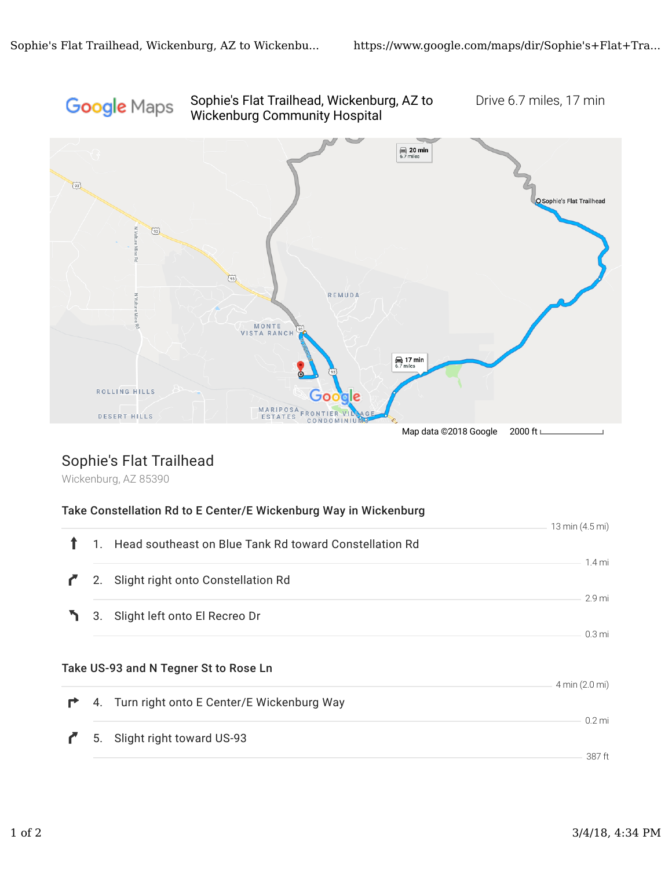#### Sophie's Flat Trailhead, Wickenburg, AZ to Drive 6.7 miles, 17 min Google Maps Wickenburg Community Hospital



## Sophie's Flat Trailhead

Wickenburg, AZ 85390

|   |    | Take Constellation Rd to E Center/E Wickenburg Way in Wickenburg |                   |
|---|----|------------------------------------------------------------------|-------------------|
|   |    |                                                                  | 13 min (4.5 mi)   |
|   |    | 1. Head southeast on Blue Tank Rd toward Constellation Rd        | $1.4 \text{ mi}$  |
|   |    | 2. Slight right onto Constellation Rd                            |                   |
|   |    |                                                                  | 2.9 <sub>mi</sub> |
|   |    | 3. Slight left onto El Recreo Dr                                 | $0.3 \text{ mi}$  |
|   |    | Take US-93 and N Tegner St to Rose Ln                            | 4 min (2.0 mi)    |
| r |    | 4. Turn right onto E Center/E Wickenburg Way                     |                   |
|   | 5. | Slight right toward US-93                                        | $0.2$ mi          |
|   |    |                                                                  | 387 ft            |